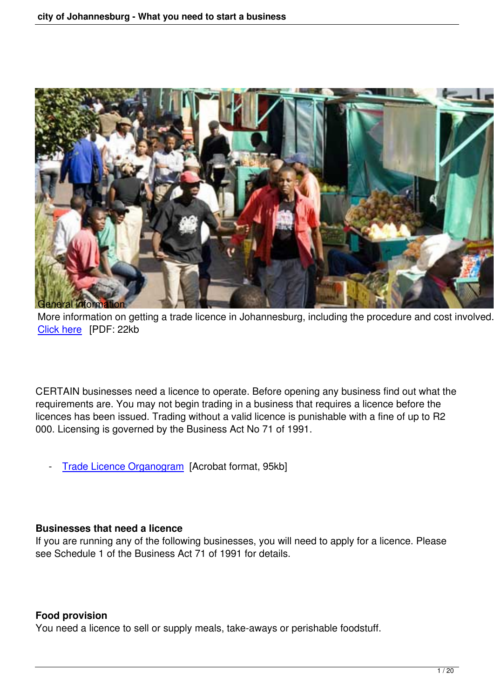

More information on getting a trade licence in Johannesburg, including the procedure and cost involved. [Click here](http://www.joburgnews.co.za/2008/pdfs/bizlicense_geninfo.pdf) [PDF: 22kb

CERTAIN businesses need a licence to operate. Before opening any business find out what the requirements are. You may not begin trading in a business that requires a licence before the licences has been issued. Trading without a valid licence is punishable with a fine of up to R2 000. Licensing is governed by the Business Act No 71 of 1991.

- [Trade Licence Organogram](http://www.joburg-archive.co.za/business/organogram.pdf) [Acrobat format, 95kb]

## **Businesses that need a licence**

If you are running any of the following businesses, you will need to apply for a licence. Please see Schedule 1 of the Business Act 71 of 1991 for details.

## **Food provision**

You need a licence to sell or supply meals, take-aways or perishable foodstuff.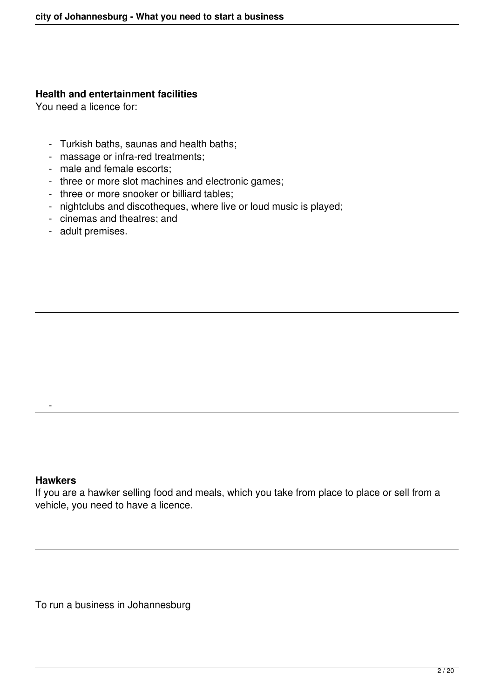#### **Health and entertainment facilities**

You need a licence for:

- Turkish baths, saunas and health baths;
- massage or infra-red treatments;
- male and female escorts;
- three or more slot machines and electronic games;
- three or more snooker or billiard tables;
- nightclubs and discotheques, where live or loud music is played;
- cinemas and theatres; and
- adult premises.

#### **Hawkers**

-

If you are a hawker selling food and meals, which you take from place to place or sell from a vehicle, you need to have a licence.

To run a business in Johannesburg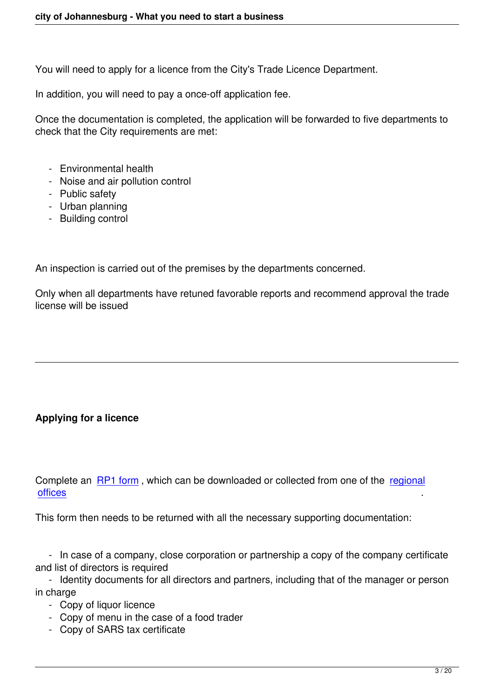You will need to apply for a licence from the City's Trade Licence Department.

In addition, you will need to pay a once-off application fee.

Once the documentation is completed, the application will be forwarded to five departments to check that the City requirements are met:

- Environmental health
- Noise and air pollution control
- Public safety
- Urban planning
- Building control

An inspection is carried out of the premises by the departments concerned.

Only when all departments have retuned favorable reports and recommend approval the trade license will be issued

# **Applying for a licence**

Complete an [RP1 form](http://www.joburg-archive.co.za/business/Application.pdf) , which can be downloaded or collected from one of the [regional](index.php?option=com_content&view=article&id=416&catid=30&Itemid=58#bizlicoffices) [offices](index.php?option=com_content&view=article&id=416&catid=30&Itemid=58#bizlicoffices) .

This form then needs to be returned with all the necessary supporting documentation:

 - In case of a company, close corporation or partnership a copy of the company certificate and list of directors is required

 - Identity documents for all directors and partners, including that of the manager or person in charge

- Copy of liquor licence
- Copy of menu in the case of a food trader
- Copy of SARS tax certificate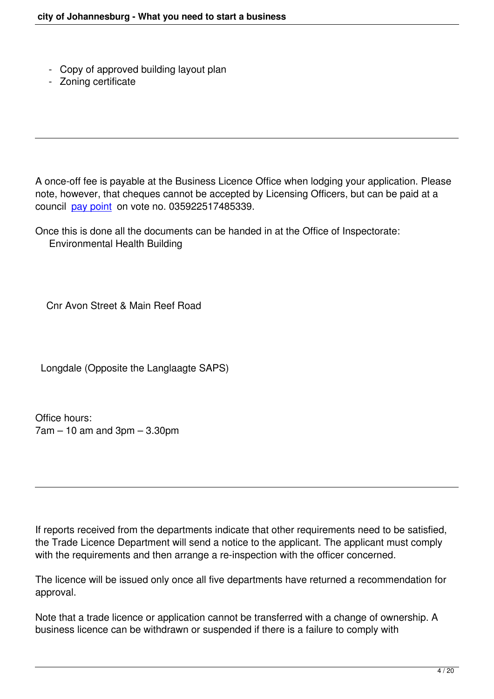- Copy of approved building layout plan
- Zoning certificate

A once-off fee is payable at the Business Licence Office when lodging your application. Please note, however, that cheques cannot be accepted by Licensing Officers, but can be paid at a council [pay point](index.php?option=com_content&task=view&id=2636&Itemid=168) on vote no. 035922517485339.

Once this is done all the documents can be handed in at the Office of Inspectorate: Environmental Health Building

Cnr Avon Street & Main Reef Road

Longdale (Opposite the Langlaagte SAPS)

Office hours:  $7am - 10$  am and  $3pm - 3.30pm$ 

If reports received from the departments indicate that other requirements need to be satisfied, the Trade Licence Department will send a notice to the applicant. The applicant must comply with the requirements and then arrange a re-inspection with the officer concerned.

The licence will be issued only once all five departments have returned a recommendation for approval.

Note that a trade licence or application cannot be transferred with a change of ownership. A business licence can be withdrawn or suspended if there is a failure to comply with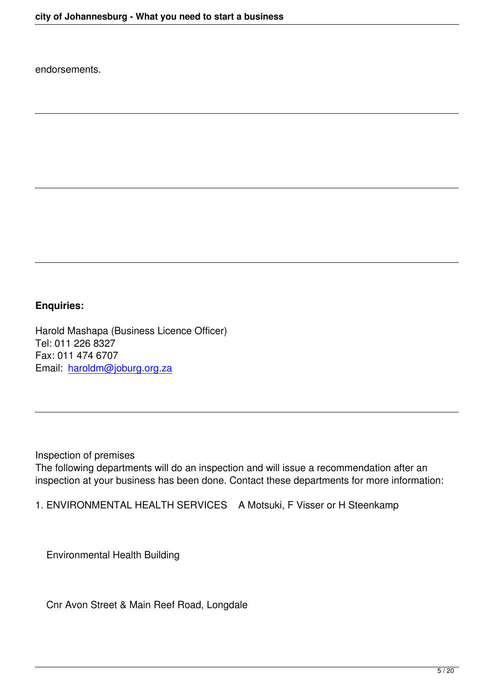endorsements.

## **Enquiries:**

Harold Mashapa (Business Licence Officer) Tel: 011 226 8327 Fax: 011 474 6707 Email: [haroldm@joburg.org.za](mailto:haroldm@joburg.org.za)

Inspection of premises The following departments will do an inspection and will issue a recommendation after an inspection at your business has been done. Contact these departments for more information:

1. ENVIRONMENTAL HEALTH SERVICES A Motsuki, F Visser or H Steenkamp

Environmental Health Building

Cnr Avon Street & Main Reef Road, Longdale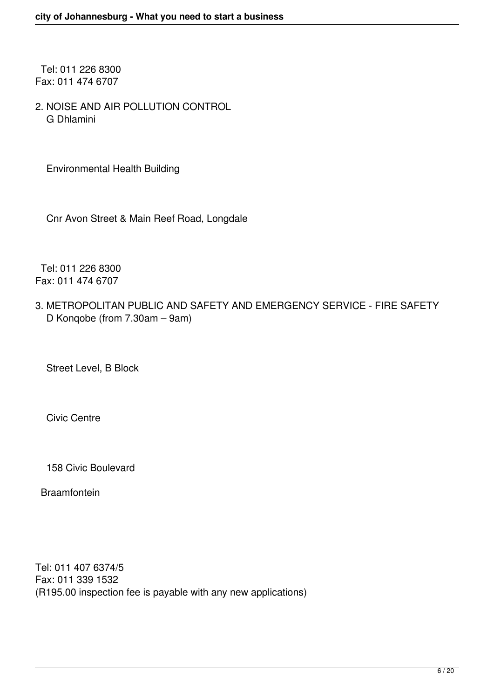Tel: 011 226 8300 Fax: 011 474 6707

2. NOISE AND AIR POLLUTION CONTROL G Dhlamini

Environmental Health Building

Cnr Avon Street & Main Reef Road, Longdale

 Tel: 011 226 8300 Fax: 011 474 6707

3. METROPOLITAN PUBLIC AND SAFETY AND EMERGENCY SERVICE - FIRE SAFETY D Konqobe (from 7.30am - 9am)

Street Level, B Block

Civic Centre

158 Civic Boulevard

Braamfontein

Tel: 011 407 6374/5 Fax: 011 339 1532 (R195.00 inspection fee is payable with any new applications)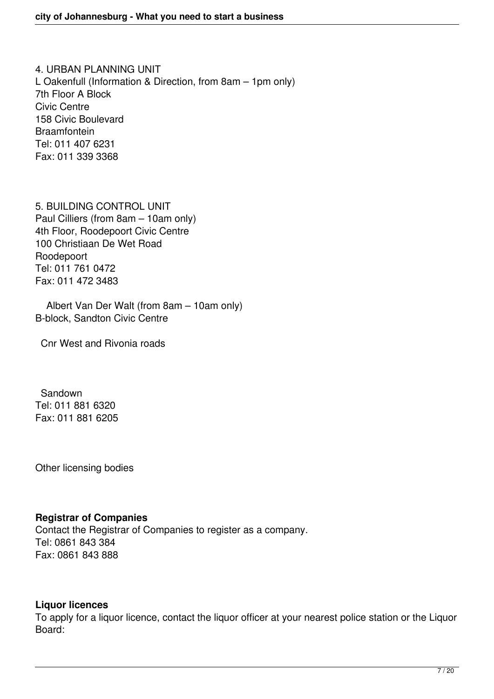4. URBAN PLANNING UNIT L Oakenfull (Information & Direction, from 8am – 1pm only) 7th Floor A Block Civic Centre 158 Civic Boulevard Braamfontein Tel: 011 407 6231 Fax: 011 339 3368

5. BUILDING CONTROL UNIT Paul Cilliers (from 8am - 10am only) 4th Floor, Roodepoort Civic Centre 100 Christiaan De Wet Road Roodepoort Tel: 011 761 0472 Fax: 011 472 3483

Albert Van Der Walt (from 8am - 10am only) B-block, Sandton Civic Centre

Cnr West and Rivonia roads

 Sandown Tel: 011 881 6320 Fax: 011 881 6205

Other licensing bodies

## **Registrar of Companies**

Contact the Registrar of Companies to register as a company. Tel: 0861 843 384 Fax: 0861 843 888

## **Liquor licences**

To apply for a liquor licence, contact the liquor officer at your nearest police station or the Liquor Board: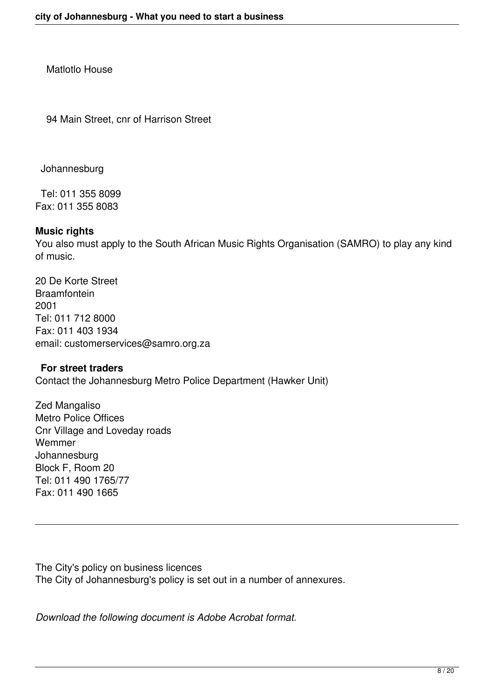Matlotlo House

94 Main Street, cnr of Harrison Street

Johannesburg

 Tel: 011 355 8099 Fax: 011 355 8083

## **Music rights**

You also must apply to the South African Music Rights Organisation (SAMRO) to play any kind of music.

20 De Korte Street **Braamfontein** 2001 Tel: 011 712 8000 Fax: 011 403 1934 email: customerservices@samro.org.za

#### **For street traders**

Contact the Johannesburg Metro Police Department (Hawker Unit)

Zed Mangaliso Metro Police Offices Cnr Village and Loveday roads Wemmer Johannesburg Block F, Room 20 Tel: 011 490 1765/77 Fax: 011 490 1665

The City's policy on business licences The City of Johannesburg's policy is set out in a number of annexures.

*Download the following document is Adobe Acrobat format.*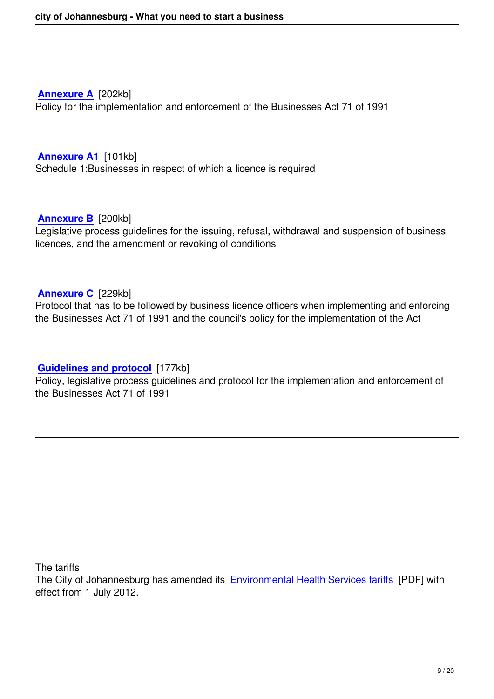**[Annexure A](http://www.joburg-archive.co.za/business/AnnexureA.pdf)** [202kb] Policy for the implementation and enforcement of the Businesses Act 71 of 1991

**[Annexure A1](http://www.joburg-archive.co.za/business/AnnexureA1.pdf)** [101kb] Schedule 1:Businesses in respect of which a licence is required

#### **[Annexure B](http://www.joburg-archive.co.za/business/AnnexureB.pdf)** [200kb]

Legislative process guidelines for the issuing, refusal, withdrawal and suspension of business licences, and the amendment or revoking of conditions

**[Annexure C](http://www.joburg-archive.co.za/business/AnnexureC.pdf)** [229kb]

Protocol that has to be followed by business licence officers when implementing and enforcing the Businesses Act 71 of 1991 and the council's policy for the implementation of the Act

## **[Guidelines and protocol](http://www.joburg-archive.co.za/business/Policybusinessesact.pdf)** [177kb]

Policy, legislative process guidelines and protocol for the implementation and enforcement of the Businesses Act 71 of 1991

The tariffs

The City of Johannesburg has amended its [Environmental Health Services tariffs](http://www.joburg-archive.co.za/2012/tariffs/annexure9_201213.pdf) [PDF] with effect from 1 July 2012.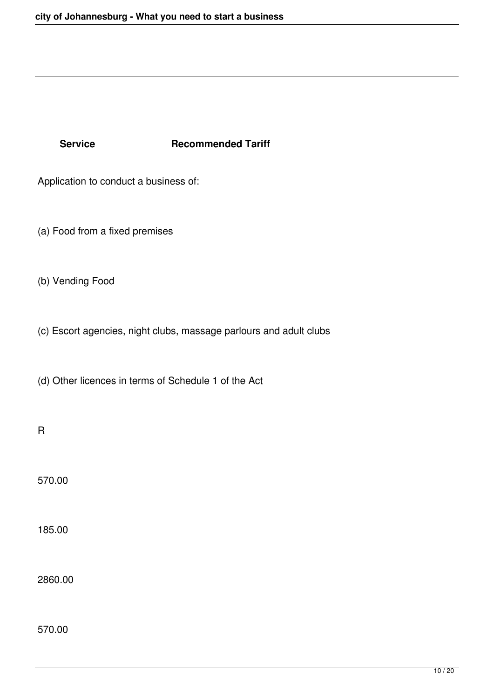## **Service Recommended Tariff**

Application to conduct a business of:

(a) Food from a fixed premises

(b) Vending Food

(c) Escort agencies, night clubs, massage parlours and adult clubs

(d) Other licences in terms of Schedule 1 of the Act

R

570.00

185.00

2860.00

570.00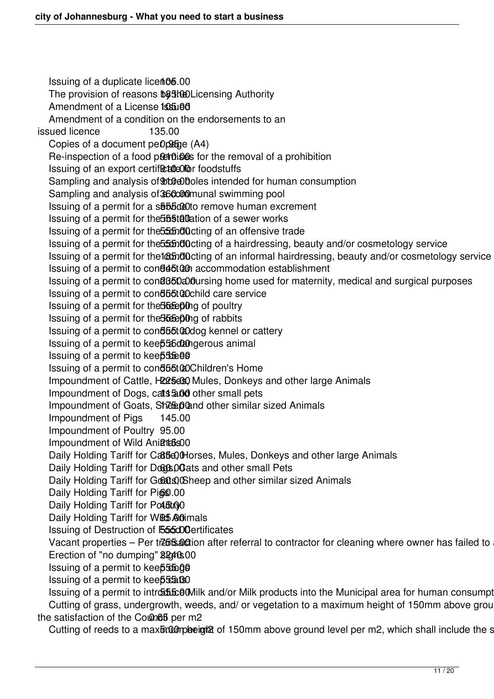Issuing of a duplicate licent06.00 The provision of reasons bothe Licensing Authority Amendment of a License **195.00**  Amendment of a condition on the endorsements to an issued licence 135.00 Copies of a document  $peD2Ege (A4)$ Re-inspection of a food premises for the removal of a prohibition Issuing of an export certificate foodstuffs Sampling and analysis of **bood boles** intended for human consumption Sampling and analysis of 360000munal swimming pool Issuing of a permit for a sb55cc0to remove human excrement Issuing of a permit for the 555tallation of a sewer works Issuing of a permit for the 555 nd0 cting of an offensive trade Issuing of a permit for the 555 nd Octing of a hairdressing, beauty and/or cosmetology service Issuing of a permit for the lastillating of an informal hairdressing, beauty and/or cosmetology service Issuing of a permit to conduction accommodation establishment Issuing of a permit to conduction oursing home used for maternity, medical and surgical purposes Issuing of a permit to condubtable are service Issuing of a permit for the **555.00** of poultry Issuing of a permit for the **555.00** of rabbits Issuing of a permit to conductable a kennel or cattery Issuing of a permit to keep 556020 ngerous animal Issuing of a permit to keep 556.00 Issuing of a permit to condubta a Children's Home Impoundment of Cattle, H225690 Mules, Donkeys and other large Animals Impoundment of Dogs, cats 5.00 other small pets Impoundment of Goats, Sheep and other similar sized Animals Impoundment of Pigs 145.00 Impoundment of Poultry 95.00 Impoundment of Wild Animation Daily Holding Tariff for Cattle, Ohorses, Mules, Donkeys and other large Animals Daily Holding Tariff for Dogs, O ats and other small Pets Daily Holding Tariff for Goats) Sheep and other similar sized Animals Daily Holding Tariff for Pigs .00 Daily Holding Tariff for Polotion Daily Holding Tariff for Wild Animals Issuing of Destruction of F555d00ertificates Vacant properties – Per trebsaction after referral to contractor for cleaning where owner has failed to Erection of "no dumping" 8240.00 Issuing of a permit to kee**p 55009** Issuing of a permit to keep 55.00 Issuing of a permit to introduce Milk and/or Milk products into the Municipal area for human consumpt Cutting of grass, undergrowth, weeds, and/ or vegetation to a maximum height of 150mm above ground Cutting of grass to many channel and shall include the shall include the shall include the shall include the shall include the satisfaction of the Counch per m2

Cutting of reeds to a maximum height of 150mm above ground level per m2, which shall include the s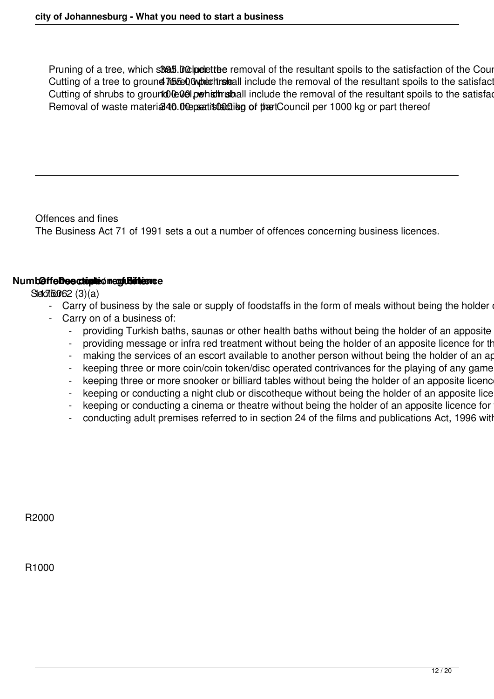Pruning of a tree, which shall include the removal of the resultant spoils to the satisfaction of the Council Cutting of a tree to ground lebel Owperthreleall include the removal of the resultant spoils to the satisfact Cutting of shrubs to ground DeOel perhist must all include the removal of the resultant spoils to the satisfaction of the Council 100.00 per sharp of the Council 100.00 per sharp of the Council 100.00 per sharp of the Coun Removal of waste material 40.00 peatisfacting of the Council per 1000 kg or part thereof

Offences and fines The Business Act 71 of 1991 sets a out a number of offences concerning business licences.

#### $Numb@ffe$ **Deectopleo negulation ce**

 $SdZf6062(3)(a)$ 

- Carry of business by the sale or supply of foodstaffs in the form of meals without being the holder
- Carry on of a business of:
	- providing Turkish baths, saunas or other health baths without being the holder of an apposite
	- providing message or infra red treatment without being the holder of an apposite licence for the
	- making the services of an escort available to another person without being the holder of an apposite in
	- keeping three or more coin/coin token/disc operated contrivances for the playing of any game
	- keeping three or more snooker or billiard tables without being the holder of an apposite licence
	- keeping or conducting a night club or discotheque without being the holder of an apposite lice
	- keeping or conducting a cinema or theatre without being the holder of an apposite licence for
	- conducting adult premises referred to in section 24 of the films and publications Act, 1996 with

R2000

R1000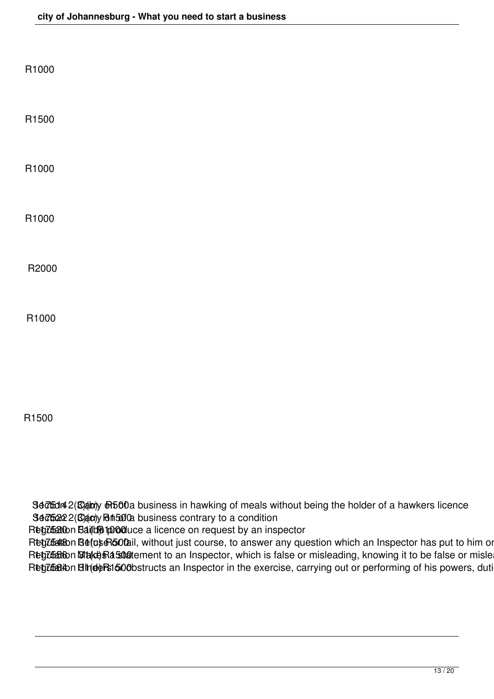| R1000 |  |  |  |
|-------|--|--|--|
| R1500 |  |  |  |
| R1000 |  |  |  |
| R1000 |  |  |  |
| R2000 |  |  |  |
| R1000 |  |  |  |
|       |  |  |  |

## R1500

Section 2(8) and the business in hawking of meals without being the holder of a hawkers licence Section 2(3) 30752 Carry 10 a condition

Regulation Bail to pooduce a licence on request by an inspector

R**egzbato**n BefoseRo0tail, without just course, to answer any question which an Inspector has put to him or R**egztato**n **Staces Ra stat**ement to an Inspector, which is false or misleading, knowing it to be false or mislea R**egztation BindeRs1500**bstructs an Inspector in the exercise, carrying out or performing of his powers, duti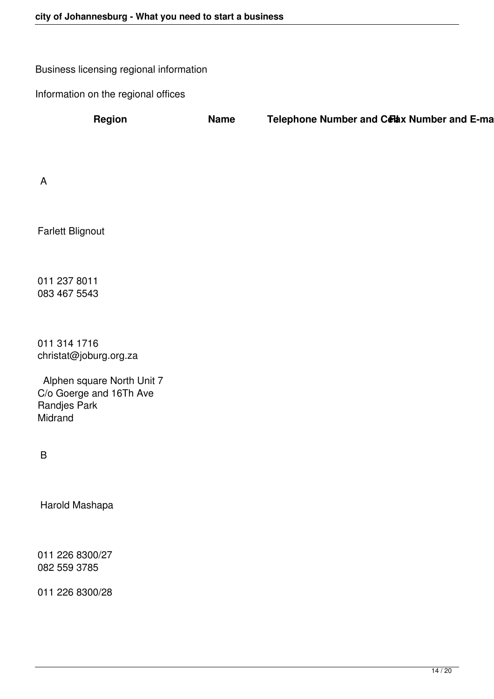Business licensing regional information

Information on the regional offices

**Region Name Telephone Number and Celax Number and E-mail** 

A

Farlett Blignout

011 237 8011 083 467 5543

011 314 1716 christat@joburg.org.za

 Alphen square North Unit 7 C/o Goerge and 16Th Ave Randjes Park **Midrand** 

B

Harold Mashapa

011 226 8300/27 082 559 3785

011 226 8300/28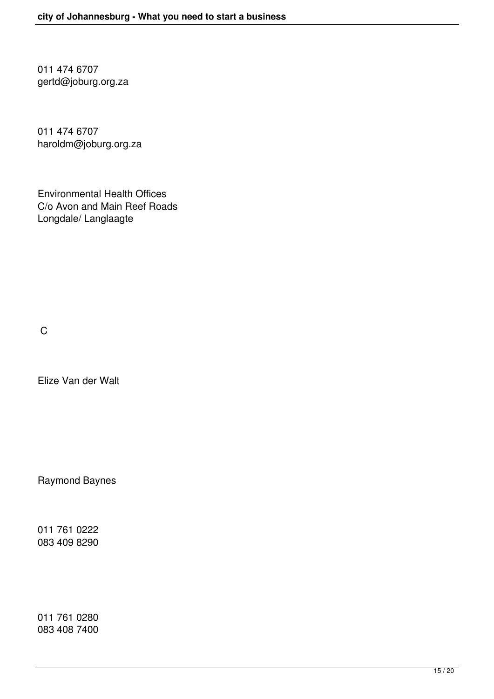011 474 6707 gertd@joburg.org.za

011 474 6707 haroldm@joburg.org.za

Environmental Health Offices C/o Avon and Main Reef Roads Longdale/ Langlaagte

C

Elize Van der Walt

Raymond Baynes

011 761 0222 083 409 8290

011 761 0280 083 408 7400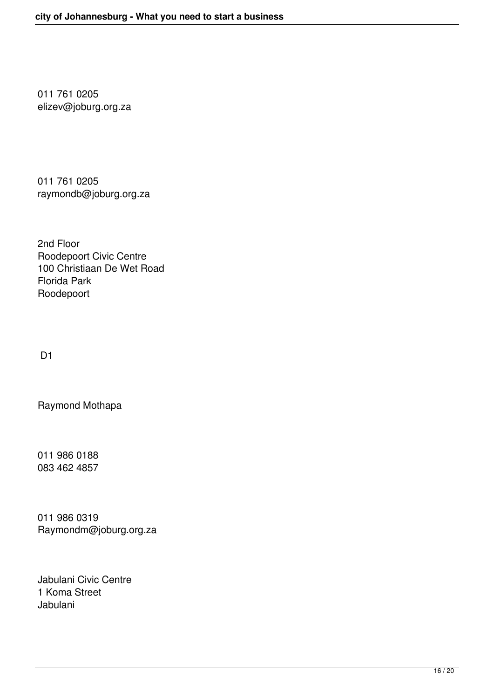011 761 0205 elizev@joburg.org.za

011 761 0205 raymondb@joburg.org.za

2nd Floor Roodepoort Civic Centre 100 Christiaan De Wet Road Florida Park Roodepoort

D1

Raymond Mothapa

011 986 0188 083 462 4857

011 986 0319 Raymondm@joburg.org.za

Jabulani Civic Centre 1 Koma Street Jabulani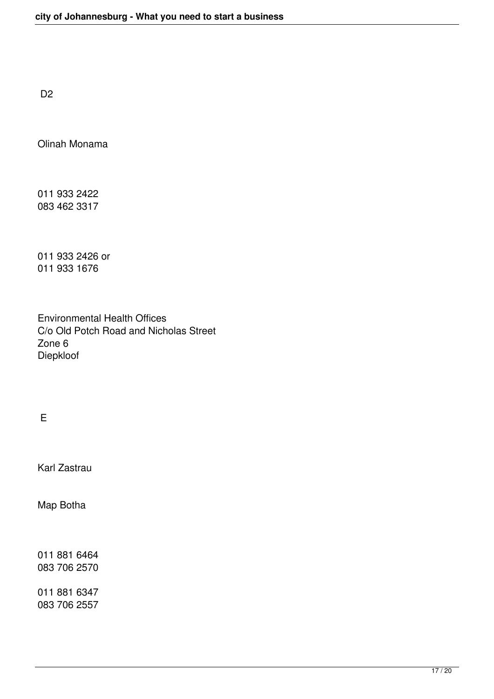D<sub>2</sub>

Olinah Monama

011 933 2422 083 462 3317

011 933 2426 or 011 933 1676

Environmental Health Offices C/o Old Potch Road and Nicholas Street Zone 6 Diepkloof

E

Karl Zastrau

Map Botha

011 881 6464 083 706 2570

011 881 6347 083 706 2557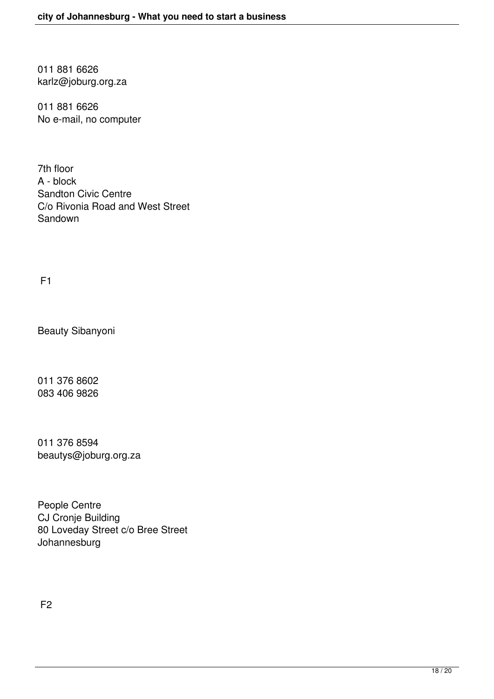011 881 6626 karlz@joburg.org.za

011 881 6626 No e-mail, no computer

7th floor A - block Sandton Civic Centre C/o Rivonia Road and West Street Sandown

F1

Beauty Sibanyoni

011 376 8602 083 406 9826

011 376 8594 beautys@joburg.org.za

People Centre CJ Cronje Building 80 Loveday Street c/o Bree Street Johannesburg

F2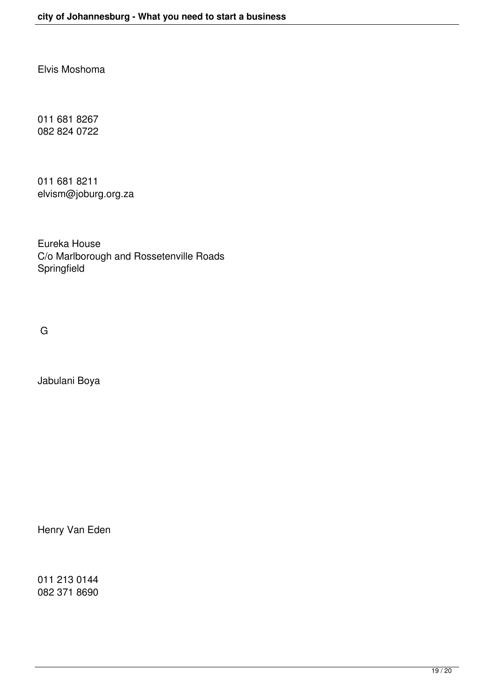Elvis Moshoma

011 681 8267 082 824 0722

011 681 8211 elvism@joburg.org.za

Eureka House C/o Marlborough and Rossetenville Roads Springfield

G

Jabulani Boya

Henry Van Eden

011 213 0144 082 371 8690